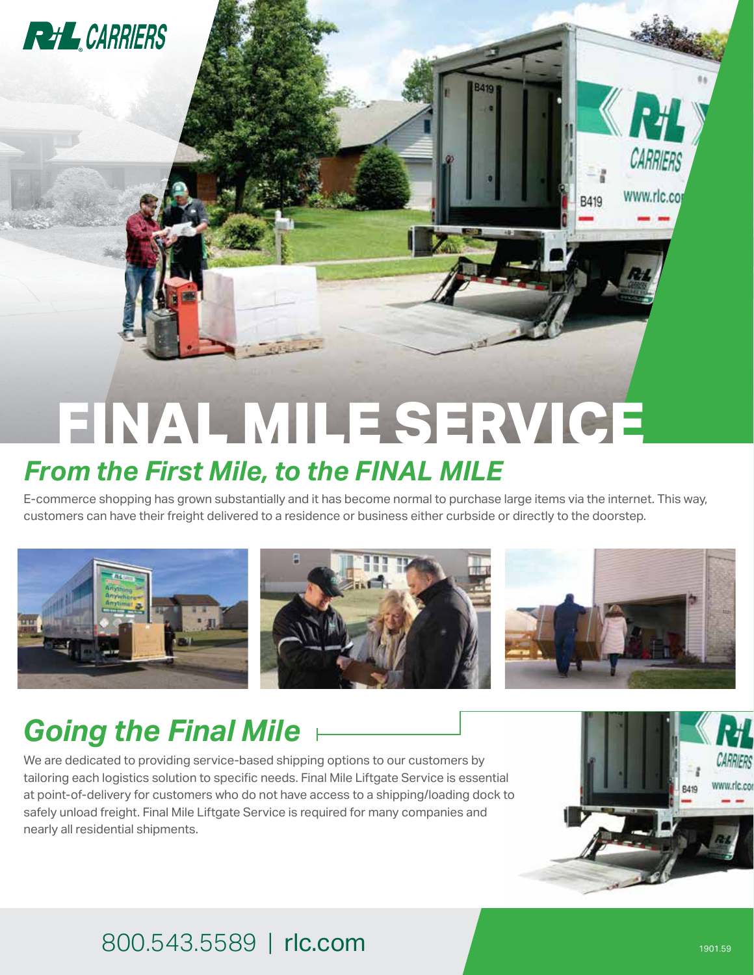

## *From the First Mile, to the FINAL MILE*

E-commerce shopping has grown substantially and it has become normal to purchase large items via the internet. This way, customers can have their freight delivered to a residence or business either curbside or directly to the doorstep.



# *Going the Final Mile*

**RtL** CARRIERS

We are dedicated to providing service-based shipping options to our customers by tailoring each logistics solution to specific needs. Final Mile Liftgate Service is essential at point-of-delivery for customers who do not have access to a shipping/loading dock to safely unload freight. Final Mile Liftgate Service is required for many companies and nearly all residential shipments.



www.rlc.com

#### 800.543.5589 | rlc.com